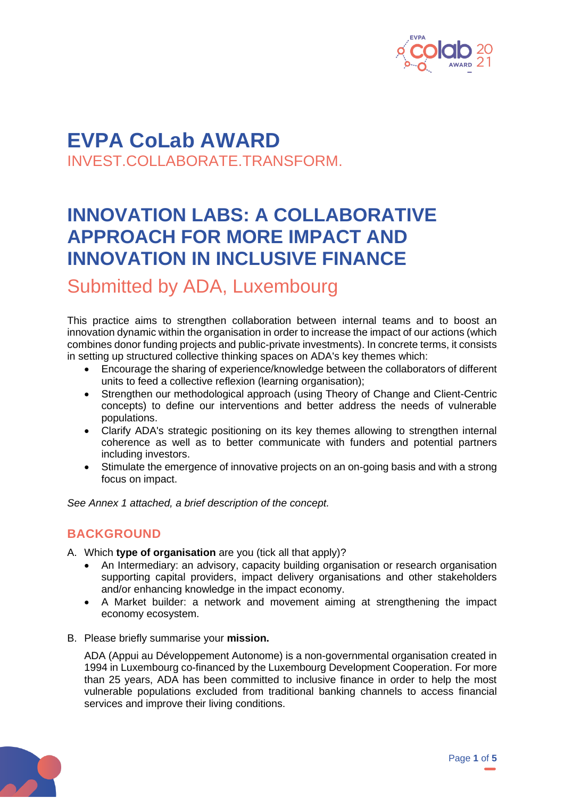

## **EVPA CoLab AWARD** INVEST.COLLABORATE.TRANSFORM.

# **INNOVATION LABS: A COLLABORATIVE APPROACH FOR MORE IMPACT AND INNOVATION IN INCLUSIVE FINANCE**

Submitted by ADA, Luxembourg

This practice aims to strengthen collaboration between internal teams and to boost an innovation dynamic within the organisation in order to increase the impact of our actions (which combines donor funding projects and public-private investments). In concrete terms, it consists in setting up structured collective thinking spaces on ADA's key themes which:

- Encourage the sharing of experience/knowledge between the collaborators of different units to feed a collective reflexion (learning organisation);
- Strengthen our methodological approach (using Theory of Change and Client-Centric concepts) to define our interventions and better address the needs of vulnerable populations.
- Clarify ADA's strategic positioning on its key themes allowing to strengthen internal coherence as well as to better communicate with funders and potential partners including investors.
- Stimulate the emergence of innovative projects on an on-going basis and with a strong focus on impact.

*See Annex 1 attached, a brief description of the concept.*

### **BACKGROUND**

A. Which **type of organisation** are you (tick all that apply)?

- An Intermediary: an advisory, capacity building organisation or research organisation supporting capital providers, impact delivery organisations and other stakeholders and/or enhancing knowledge in the impact economy.
- A Market builder: a network and movement aiming at strengthening the impact economy ecosystem.
- B. Please briefly summarise your **mission.**

ADA (Appui au Développement Autonome) is a non-governmental organisation created in 1994 in Luxembourg co-financed by the Luxembourg Development Cooperation. For more than 25 years, ADA has been committed to inclusive finance in order to help the most vulnerable populations excluded from traditional banking channels to access financial services and improve their living conditions.

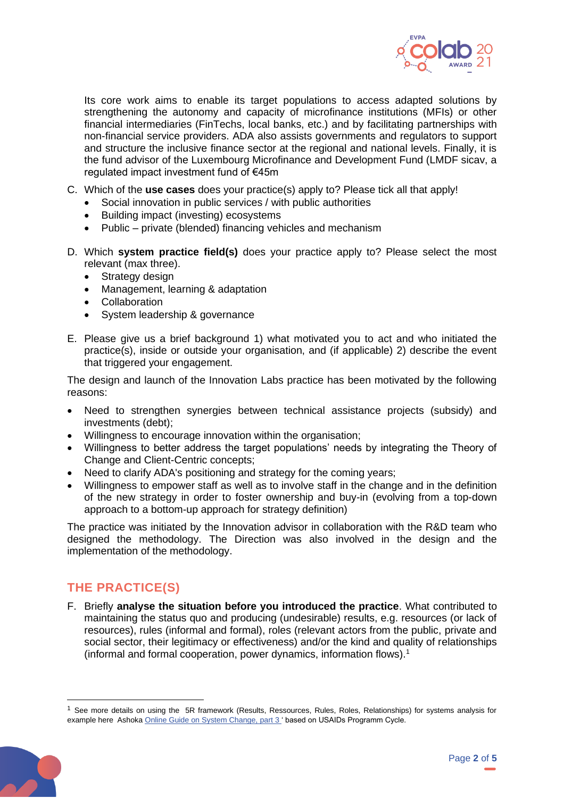

Its core work aims to enable its target populations to access adapted solutions by strengthening the autonomy and capacity of microfinance institutions (MFIs) or other financial intermediaries (FinTechs, local banks, etc.) and by facilitating partnerships with non-financial service providers. ADA also assists governments and regulators to support and structure the inclusive finance sector at the regional and national levels. Finally, it is the fund advisor of the Luxembourg Microfinance and Development Fund (LMDF sicav, a regulated impact investment fund of €45m

- C. Which of the **use cases** does your practice(s) apply to? Please tick all that apply!
	- Social innovation in public services / with public authorities
	- Building impact (investing) ecosystems
	- Public private (blended) financing vehicles and mechanism
- D. Which **system practice field(s)** does your practice apply to? Please select the most relevant (max three).
	- Strategy design
	- Management, learning & adaptation
	- Collaboration
	- System leadership & governance
- E. Please give us a brief background 1) what motivated you to act and who initiated the practice(s), inside or outside your organisation, and (if applicable) 2) describe the event that triggered your engagement.

The design and launch of the Innovation Labs practice has been motivated by the following reasons:

- Need to strengthen synergies between technical assistance projects (subsidy) and investments (debt);
- Willingness to encourage innovation within the organisation;
- Willingness to better address the target populations' needs by integrating the Theory of Change and Client-Centric concepts;
- Need to clarify ADA's positioning and strategy for the coming years;
- Willingness to empower staff as well as to involve staff in the change and in the definition of the new strategy in order to foster ownership and buy-in (evolving from a top-down approach to a bottom-up approach for strategy definition)

The practice was initiated by the Innovation advisor in collaboration with the R&D team who designed the methodology. The Direction was also involved in the design and the implementation of the methodology.

### **THE PRACTICE(S)**

F. Briefly **analyse the situation before you introduced the practice**. What contributed to maintaining the status quo and producing (undesirable) results, e.g. resources (or lack of resources), rules (informal and formal), roles (relevant actors from the public, private and social sector, their legitimacy or effectiveness) and/or the kind and quality of relationships (informal and formal cooperation, power dynamics, information flows).<sup>1</sup>

 $<sup>1</sup>$  See more details on using the 5R framework (Results, Ressources, Rules, Roles, Relationships) for systems analysis for</sup> example here Ashok[a Online Guide on System Change, part](https://www.ashoka.org/en/story/animated-guide-changing-systems) 3' based on USAIDs Programm Cycle.

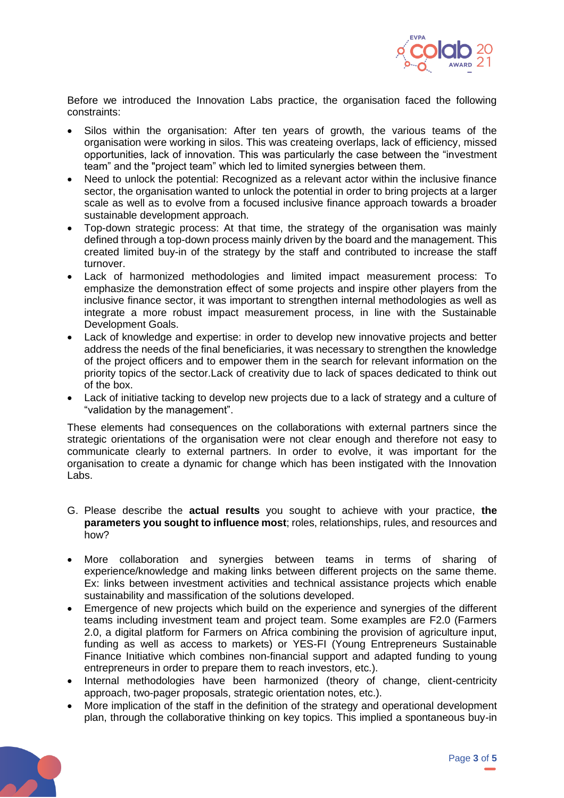

Before we introduced the Innovation Labs practice, the organisation faced the following constraints:

- Silos within the organisation: After ten years of growth, the various teams of the organisation were working in silos. This was createing overlaps, lack of efficiency, missed opportunities, lack of innovation. This was particularly the case between the "investment team" and the "project team" which led to limited synergies between them.
- Need to unlock the potential: Recognized as a relevant actor within the inclusive finance sector, the organisation wanted to unlock the potential in order to bring projects at a larger scale as well as to evolve from a focused inclusive finance approach towards a broader sustainable development approach.
- Top-down strategic process: At that time, the strategy of the organisation was mainly defined through a top-down process mainly driven by the board and the management. This created limited buy-in of the strategy by the staff and contributed to increase the staff turnover.
- Lack of harmonized methodologies and limited impact measurement process: To emphasize the demonstration effect of some projects and inspire other players from the inclusive finance sector, it was important to strengthen internal methodologies as well as integrate a more robust impact measurement process, in line with the Sustainable Development Goals.
- Lack of knowledge and expertise: in order to develop new innovative projects and better address the needs of the final beneficiaries, it was necessary to strengthen the knowledge of the project officers and to empower them in the search for relevant information on the priority topics of the sector.Lack of creativity due to lack of spaces dedicated to think out of the box.
- Lack of initiative tacking to develop new projects due to a lack of strategy and a culture of "validation by the management".

These elements had consequences on the collaborations with external partners since the strategic orientations of the organisation were not clear enough and therefore not easy to communicate clearly to external partners. In order to evolve, it was important for the organisation to create a dynamic for change which has been instigated with the Innovation Labs.

- G. Please describe the **actual results** you sought to achieve with your practice, **the parameters you sought to influence most**; roles, relationships, rules, and resources and how?
- More collaboration and synergies between teams in terms of sharing of experience/knowledge and making links between different projects on the same theme. Ex: links between investment activities and technical assistance projects which enable sustainability and massification of the solutions developed.
- Emergence of new projects which build on the experience and synergies of the different teams including investment team and project team. Some examples are F2.0 (Farmers 2.0, a digital platform for Farmers on Africa combining the provision of agriculture input, funding as well as access to markets) or YES-FI (Young Entrepreneurs Sustainable Finance Initiative which combines non-financial support and adapted funding to young entrepreneurs in order to prepare them to reach investors, etc.).
- Internal methodologies have been harmonized (theory of change, client-centricity approach, two-pager proposals, strategic orientation notes, etc.).
- More implication of the staff in the definition of the strategy and operational development plan, through the collaborative thinking on key topics. This implied a spontaneous buy-in

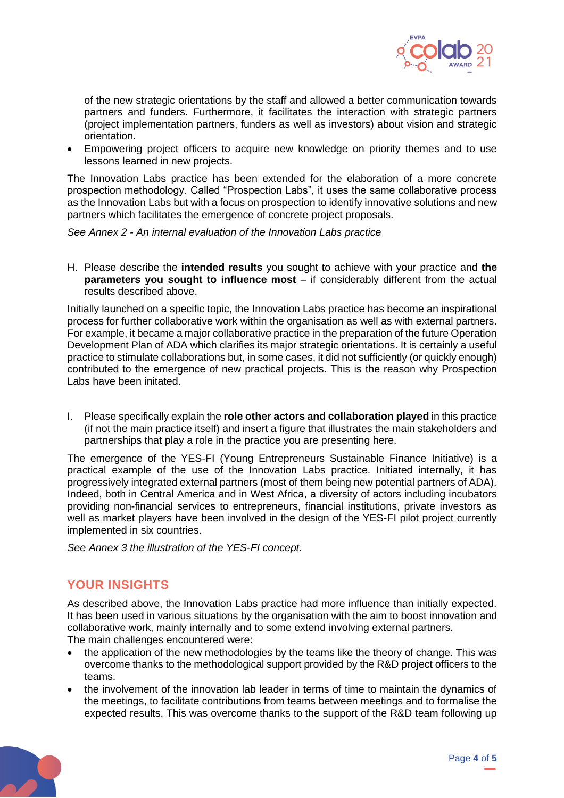

of the new strategic orientations by the staff and allowed a better communication towards partners and funders. Furthermore, it facilitates the interaction with strategic partners (project implementation partners, funders as well as investors) about vision and strategic orientation.

• Empowering project officers to acquire new knowledge on priority themes and to use lessons learned in new projects.

The Innovation Labs practice has been extended for the elaboration of a more concrete prospection methodology. Called "Prospection Labs", it uses the same collaborative process as the Innovation Labs but with a focus on prospection to identify innovative solutions and new partners which facilitates the emergence of concrete project proposals.

*See Annex 2 - An internal evaluation of the Innovation Labs practice*

H. Please describe the **intended results** you sought to achieve with your practice and **the parameters you sought to influence most** – if considerably different from the actual results described above.

Initially launched on a specific topic, the Innovation Labs practice has become an inspirational process for further collaborative work within the organisation as well as with external partners. For example, it became a major collaborative practice in the preparation of the future Operation Development Plan of ADA which clarifies its major strategic orientations. It is certainly a useful practice to stimulate collaborations but, in some cases, it did not sufficiently (or quickly enough) contributed to the emergence of new practical projects. This is the reason why Prospection Labs have been initated.

I. Please specifically explain the **role other actors and collaboration played** in this practice (if not the main practice itself) and insert a figure that illustrates the main stakeholders and partnerships that play a role in the practice you are presenting here.

The emergence of the YES-FI (Young Entrepreneurs Sustainable Finance Initiative) is a practical example of the use of the Innovation Labs practice. Initiated internally, it has progressively integrated external partners (most of them being new potential partners of ADA). Indeed, both in Central America and in West Africa, a diversity of actors including incubators providing non-financial services to entrepreneurs, financial institutions, private investors as well as market players have been involved in the design of the YES-FI pilot project currently implemented in six countries.

*See Annex 3 the illustration of the YES-FI concept.*

#### **YOUR INSIGHTS**

As described above, the Innovation Labs practice had more influence than initially expected. It has been used in various situations by the organisation with the aim to boost innovation and collaborative work, mainly internally and to some extend involving external partners. The main challenges encountered were:

- the application of the new methodologies by the teams like the theory of change. This was overcome thanks to the methodological support provided by the R&D project officers to the teams.
- the involvement of the innovation lab leader in terms of time to maintain the dynamics of the meetings, to facilitate contributions from teams between meetings and to formalise the expected results. This was overcome thanks to the support of the R&D team following up